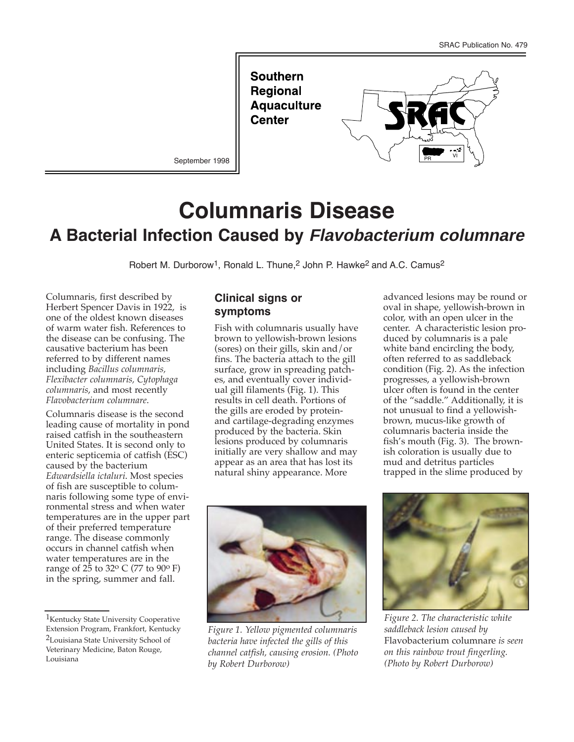**Southern Regional Aquaculture Center** 



September 1998

# **Columnaris Disease A Bacterial Infection Caused by Flavobacterium columnare**

Robert M. Durborow<sup>1</sup>, Ronald L. Thune,<sup>2</sup> John P. Hawke<sup>2</sup> and A.C. Camus<sup>2</sup>

Columnaris, first described by Herbert Spencer Davis in 1922, is one of the oldest known diseases of warm water fish. References to the disease can be confusing. The causative bacterium has been referred to by different names including *Bacillus columnaris, Flexibacter columnaris, Cytophaga columnaris*, and most recently *Flavobacterium columnare*.

Columnaris disease is the second leading cause of mortality in pond raised catfish in the southeastern United States. It is second only to enteric septicemia of catfish (ESC) caused by the bacterium *Edwardsiella ictaluri*. Most species of fish are susceptible to columnaris following some type of environmental stress and when water temperatures are in the upper part of their preferred temperature range. The disease commonly occurs in channel catfish when water temperatures are in the range of 25 to 32<sup>o</sup> C (77 to 90<sup>o</sup> F) in the spring, summer and fall.

### **Clinical signs or symptoms**

Fish with columnaris usually have brown to yellowish-brown lesions (sores) on their gills, skin and/or fins. The bacteria attach to the gill surface, grow in spreading patches, and eventually cover individual gill filaments (Fig. 1). This results in cell death. Portions of the gills are eroded by proteinand cartilage-degrading enzymes produced by the bacteria. Skin lesions produced by columnaris initially are very shallow and may appear as an area that has lost its natural shiny appearance. More

advanced lesions may be round or oval in shape, yellowish-brown in color, with an open ulcer in the center. A characteristic lesion produced by columnaris is a pale white band encircling the body, often referred to as saddleback condition (Fig. 2). As the infection progresses, a yellowish-brown ulcer often is found in the center of the "saddle." Additionally, it is not unusual to find a yellowishbrown, mucus-like growth of columnaris bacteria inside the fish's mouth (Fig. 3). The brownish coloration is usually due to mud and detritus particles trapped in the slime produced by



*Figure 1. Yellow pigmented columnaris bacteria have infected the gills of this channel catfish, causing erosion. (Photo by Robert Durborow)*



*Figure 2. The characteristic white saddleback lesion caused by* Flavobacterium columnare *is seen on this rainbow trout fingerling. (Photo by Robert Durborow)*

<sup>&</sup>lt;sup>1</sup>Kentucky State University Cooperative Extension Program, Frankfort, Kentucky 2Louisiana State University School of Veterinary Medicine, Baton Rouge, Louisiana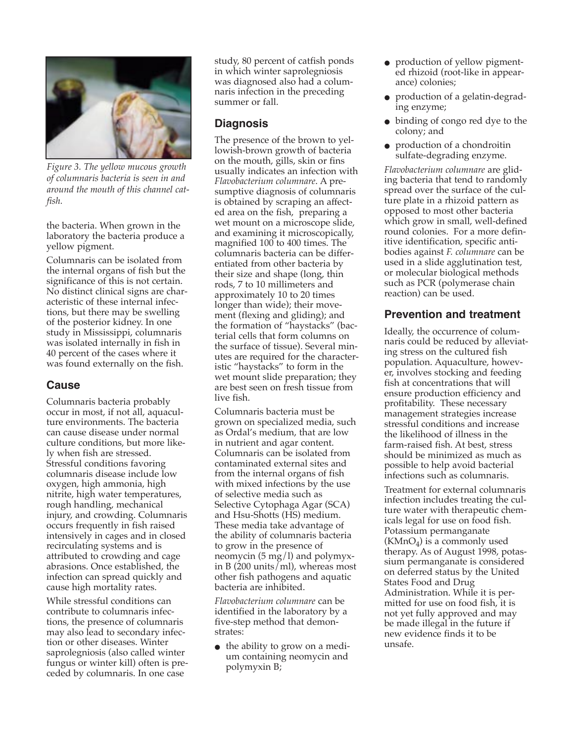

*Figure 3. The yellow mucous growth of columnaris bacteria is seen in and around the mouth of this channel catfish.*

the bacteria. When grown in the laboratory the bacteria produce a yellow pigment.

Columnaris can be isolated from the internal organs of fish but the significance of this is not certain. No distinct clinical signs are characteristic of these internal infections, but there may be swelling of the posterior kidney. In one study in Mississippi, columnaris was isolated internally in fish in 40 percent of the cases where it was found externally on the fish.

### **Cause**

Columnaris bacteria probably occur in most, if not all, aquaculture environments. The bacteria can cause disease under normal culture conditions, but more likely when fish are stressed. Stressful conditions favoring columnaris disease include low oxygen, high ammonia, high nitrite, high water temperatures, rough handling, mechanical injury, and crowding. Columnaris occurs frequently in fish raised intensively in cages and in closed recirculating systems and is attributed to crowding and cage abrasions. Once established, the infection can spread quickly and cause high mortality rates.

While stressful conditions can contribute to columnaris infections, the presence of columnaris may also lead to secondary infection or other diseases. Winter saprolegniosis (also called winter fungus or winter kill) often is preceded by columnaris. In one case

study, 80 percent of catfish ponds in which winter saprolegniosis was diagnosed also had a columnaris infection in the preceding summer or fall.

#### **Diagnosis**

The presence of the brown to yellowish-brown growth of bacteria on the mouth, gills, skin or fins usually indicates an infection with *Flavobacterium columnare*. A presumptive diagnosis of columnaris is obtained by scraping an affected area on the fish, preparing a wet mount on a microscope slide, and examining it microscopically, magnified 100 to 400 times. The columnaris bacteria can be differentiated from other bacteria by their size and shape (long, thin rods, 7 to 10 millimeters and approximately 10 to 20 times longer than wide); their movement (flexing and gliding); and the formation of "haystacks" (bacterial cells that form columns on the surface of tissue). Several minutes are required for the characteristic "haystacks" to form in the wet mount slide preparation; they are best seen on fresh tissue from live fish.

Columnaris bacteria must be grown on specialized media, such as Ordal's medium, that are low in nutrient and agar content. Columnaris can be isolated from contaminated external sites and from the internal organs of fish with mixed infections by the use of selective media such as Selective Cytophaga Agar (SCA) and Hsu-Shotts (HS) medium. These media take advantage of the ability of columnaris bacteria to grow in the presence of neomycin (5 mg/l) and polymyxin B (200 units/ml), whereas most other fish pathogens and aquatic bacteria are inhibited.

*Flavobacterium columnare* can be identified in the laboratory by a five-step method that demonstrates:

• the ability to grow on a medium containing neomycin and polymyxin B;

- production of yellow pigmented rhizoid (root-like in appearance) colonies;
- production of a gelatin-degrading enzyme;
- binding of congo red dye to the colony; and
- production of a chondroitin sulfate-degrading enzyme.

*Flavobacterium columnare* are gliding bacteria that tend to randomly spread over the surface of the culture plate in a rhizoid pattern as opposed to most other bacteria which grow in small, well-defined round colonies. For a more definitive identification, specific antibodies against *F. columnare* can be used in a slide agglutination test, or molecular biological methods such as PCR (polymerase chain reaction) can be used.

## **Prevention and treatment**

Ideally, the occurrence of columnaris could be reduced by alleviating stress on the cultured fish population. Aquaculture, however, involves stocking and feeding fish at concentrations that will ensure production efficiency and profitability. These necessary management strategies increase stressful conditions and increase the likelihood of illness in the farm-raised fish. At best, stress should be minimized as much as possible to help avoid bacterial infections such as columnaris.

Treatment for external columnaris infection includes treating the culture water with therapeutic chemicals legal for use on food fish. Potassium permanganate  $(KMnO<sub>4</sub>)$  is a commonly used therapy. As of August 1998, potassium permanganate is considered on deferred status by the United States Food and Drug Administration. While it is permitted for use on food fish, it is not yet fully approved and may be made illegal in the future if new evidence finds it to be unsafe.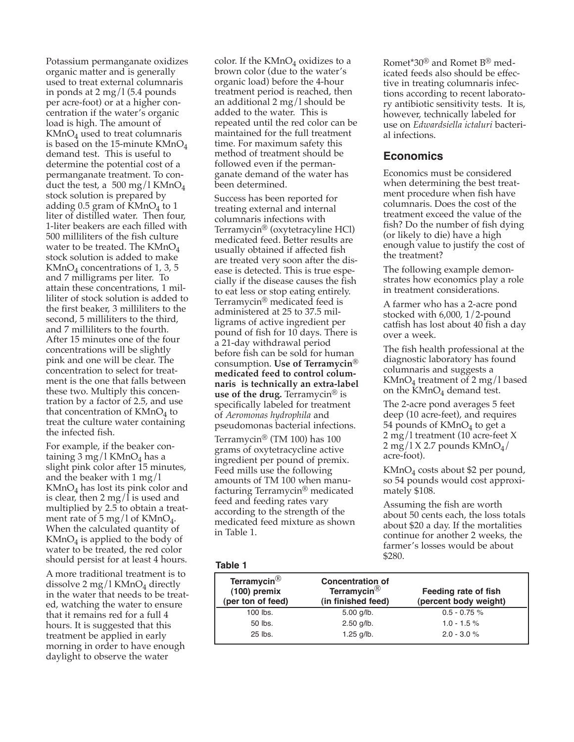Potassium permanganate oxidizes organic matter and is generally used to treat external columnaris in ponds at 2 mg/l (5.4 pounds per acre-foot) or at a higher concentration if the water's organic load is high. The amount of  $KMnO<sub>4</sub>$  used to treat columnaris is based on the 15-minute  $KMnO<sub>4</sub>$ demand test. This is useful to determine the potential cost of a permanganate treatment. To conduct the test, a 500 mg/l KMnO<sub>4</sub> stock solution is prepared by adding  $0.5$  gram of KMnO<sub>4</sub> to 1 liter of distilled water. Then four, 1-liter beakers are each filled with 500 milliliters of the fish culture water to be treated. The  $KMnO<sub>4</sub>$ stock solution is added to make  $KMnO<sub>4</sub>$  concentrations of 1, 3, 5 and 7 milligrams per liter. To attain these concentrations, 1 milliliter of stock solution is added to the first beaker, 3 milliliters to the second, 5 milliliters to the third, and 7 milliliters to the fourth. After 15 minutes one of the four concentrations will be slightly pink and one will be clear. The concentration to select for treatment is the one that falls between these two. Multiply this concentration by a factor of 2.5, and use that concentration of  $KMnO<sub>4</sub>$  to treat the culture water containing the infected fish.

For example, if the beaker containing  $3 \text{ mg}/1 \text{ KMnO}_4$  has a slight pink color after 15 minutes, and the beaker with 1 mg/l  $KMnO<sub>4</sub>$  has lost its pink color and is clear, then 2 mg/ $\overline{1}$  is used and multiplied by 2.5 to obtain a treatment rate of 5 mg/l of  $KMnO<sub>4</sub>$ . When the calculated quantity of  $KMnO<sub>4</sub>$  is applied to the body of water to be treated, the red color should persist for at least 4 hours.

A more traditional treatment is to dissolve 2 mg/l  $KMnO<sub>4</sub>$  directly in the water that needs to be treated, watching the water to ensure that it remains red for a full 4 hours. It is suggested that this treatment be applied in early morning in order to have enough daylight to observe the water

color. If the  $KMnO<sub>4</sub>$  oxidizes to a brown color (due to the water's organic load) before the 4-hour treatment period is reached, then an additional 2 mg/l should be added to the water. This is repeated until the red color can be maintained for the full treatment time. For maximum safety this method of treatment should be followed even if the permanganate demand of the water has been determined.

Success has been reported for treating external and internal columnaris infections with Terramycin® (oxytetracyline HCl) medicated feed. Better results are usually obtained if affected fish are treated very soon after the disease is detected. This is true especially if the disease causes the fish to eat less or stop eating entirely. Terramycin® medicated feed is administered at 25 to 37.5 milligrams of active ingredient per pound of fish for 10 days. There is a 21-day withdrawal period before fish can be sold for human consumption. **Use of Terramycin® medicated feed to control columnaris is technically an extra-label use of the drug.** Terramycin® is specifically labeled for treatment of *Aeromonas hydrophila* and pseudomonas bacterial infections.

Terramycin® (TM 100) has 100 grams of oxytetracycline active ingredient per pound of premix. Feed mills use the following amounts of TM 100 when manufacturing Terramycin® medicated feed and feeding rates vary according to the strength of the medicated feed mixture as shown in Table 1.

Romet\*30® and Romet B® medicated feeds also should be effective in treating columnaris infections according to recent laboratory antibiotic sensitivity tests. It is, however, technically labeled for use on *Edwardsiella ictaluri* bacterial infections.

#### **Economics**

Economics must be considered when determining the best treatment procedure when fish have columnaris. Does the cost of the treatment exceed the value of the fish? Do the number of fish dying (or likely to die) have a high enough value to justify the cost of the treatment?

The following example demonstrates how economics play a role in treatment considerations.

A farmer who has a 2-acre pond stocked with 6,000, 1/2-pound catfish has lost about 40 fish a day over a week.

The fish health professional at the diagnostic laboratory has found columnaris and suggests a KMnO4 treatment of 2 mg/l based on the  $KMnO<sub>4</sub>$  demand test.

The 2-acre pond averages 5 feet deep (10 acre-feet), and requires 54 pounds of  $KMnO<sub>4</sub>$  to get a 2 mg/l treatment (10 acre-feet X  $2 \text{ mg}/1 \text{ X } 2.7 \text{ pounds } \text{KMnO}_4/$ acre-foot).

 $KMnO<sub>4</sub> costs about $2 per pound,$ so 54 pounds would cost approximately \$108.

Assuming the fish are worth about 50 cents each, the loss totals about \$20 a day. If the mortalities continue for another 2 weeks, the farmer's losses would be about \$280.

#### **Table 1**

| Terramycin $^{\circledR}$<br>$(100)$ premix<br>(per ton of feed) | <b>Concentration of</b><br>Terramycin <sup>®</sup><br>(in finished feed) | Feeding rate of fish<br>(percent body weight) |
|------------------------------------------------------------------|--------------------------------------------------------------------------|-----------------------------------------------|
| $100$ lbs.                                                       | $5.00$ g/lb.                                                             | $0.5 - 0.75$ %                                |
| 50 lbs.                                                          | $2.50$ g/lb.                                                             | $1.0 - 1.5%$                                  |
| $25$ lbs.                                                        | $1.25$ g/lb.                                                             | $2.0 - 3.0 %$                                 |